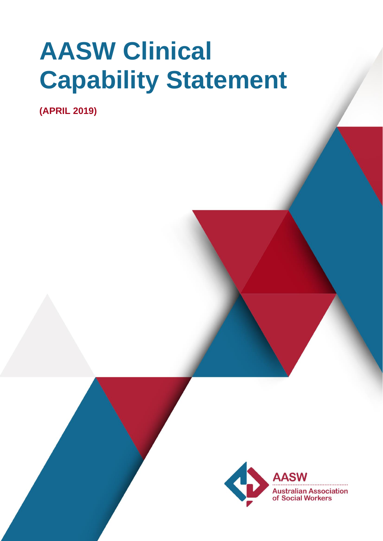# **AASW Clinical Capability Statement**

**(APRIL 2019)**

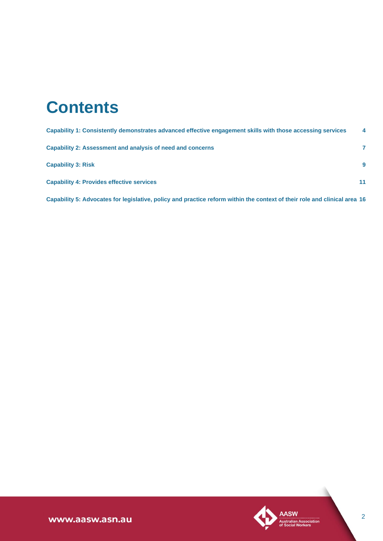# **Contents**

| Capability 1: Consistently demonstrates advanced effective engagement skills with those accessing services | 4  |
|------------------------------------------------------------------------------------------------------------|----|
| Capability 2: Assessment and analysis of need and concerns                                                 |    |
| <b>Capability 3: Risk</b>                                                                                  | 9  |
| <b>Capability 4: Provides effective services</b>                                                           | 11 |

**[Capability 5: Advocates for legislative, policy and practice reform within the context of their role and clinical area](#page-15-0) 16**

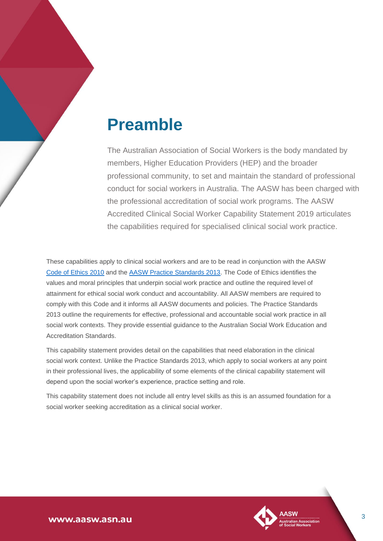# **Preamble**

The Australian Association of Social Workers is the body mandated by members, Higher Education Providers (HEP) and the broader professional community, to set and maintain the standard of professional conduct for social workers in Australia. The AASW has been charged with the professional accreditation of social work programs. The AASW Accredited Clinical Social Worker Capability Statement 2019 articulates the capabilities required for specialised clinical social work practice.

These capabilities apply to clinical social workers and are to be read in conjunction with the AASW [Code of Ethics 2010](https://www.aasw.asn.au/practitioner-resources/code-of-ethics) and the [AASW Practice Standards 2013.](https://www.aasw.asn.au/document/item/4551) The Code of Ethics identifies the values and moral principles that underpin social work practice and outline the required level of attainment for ethical social work conduct and accountability. All AASW members are required to comply with this Code and it informs all AASW documents and policies. The Practice Standards 2013 outline the requirements for effective, professional and accountable social work practice in all social work contexts. They provide essential guidance to the Australian Social Work Education and Accreditation Standards.

This capability statement provides detail on the capabilities that need elaboration in the clinical social work context. Unlike the Practice Standards 2013, which apply to social workers at any point in their professional lives, the applicability of some elements of the clinical capability statement will depend upon the social worker's experience, practice setting and role.

This capability statement does not include all entry level skills as this is an assumed foundation for a social worker seeking accreditation as a clinical social worker.

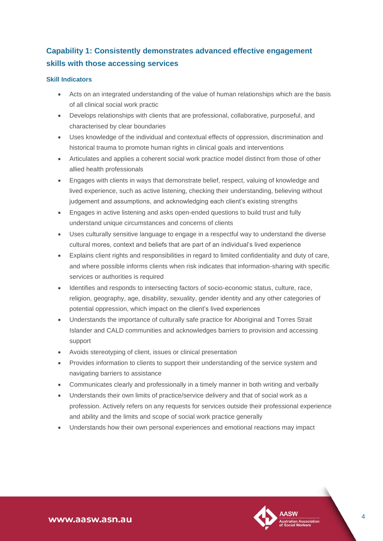# <span id="page-3-0"></span>**Capability 1: Consistently demonstrates advanced effective engagement skills with those accessing services**

#### **Skill Indicators**

- Acts on an integrated understanding of the value of human relationships which are the basis of all clinical social work practic
- Develops relationships with clients that are professional, collaborative, purposeful, and characterised by clear boundaries
- Uses knowledge of the individual and contextual effects of oppression, discrimination and historical trauma to promote human rights in clinical goals and interventions
- Articulates and applies a coherent social work practice model distinct from those of other allied health professionals
- Engages with clients in ways that demonstrate belief, respect, valuing of knowledge and lived experience, such as active listening, checking their understanding, believing without judgement and assumptions, and acknowledging each client's existing strengths
- Engages in active listening and asks open-ended questions to build trust and fully understand unique circumstances and concerns of clients
- Uses culturally sensitive language to engage in a respectful way to understand the diverse cultural mores, context and beliefs that are part of an individual's lived experience
- Explains client rights and responsibilities in regard to limited confidentiality and duty of care, and where possible informs clients when risk indicates that information-sharing with specific services or authorities is required
- Identifies and responds to intersecting factors of socio-economic status, culture, race, religion, geography, age, disability, sexuality, gender identity and any other categories of potential oppression, which impact on the client's lived experiences
- Understands the importance of culturally safe practice for Aboriginal and Torres Strait Islander and CALD communities and acknowledges barriers to provision and accessing support
- Avoids stereotyping of client, issues or clinical presentation
- Provides information to clients to support their understanding of the service system and navigating barriers to assistance
- Communicates clearly and professionally in a timely manner in both writing and verbally
- Understands their own limits of practice/service delivery and that of social work as a profession. Actively refers on any requests for services outside their professional experience and ability and the limits and scope of social work practice generally
- Understands how their own personal experiences and emotional reactions may impact

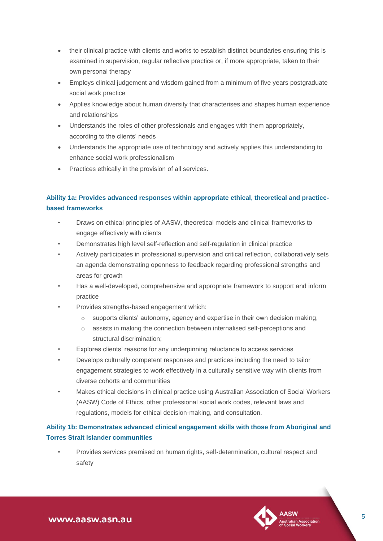- their clinical practice with clients and works to establish distinct boundaries ensuring this is examined in supervision, regular reflective practice or, if more appropriate, taken to their own personal therapy
- Employs clinical judgement and wisdom gained from a minimum of five years postgraduate social work practice
- Applies knowledge about human diversity that characterises and shapes human experience and relationships
- Understands the roles of other professionals and engages with them appropriately, according to the clients' needs
- Understands the appropriate use of technology and actively applies this understanding to enhance social work professionalism
- Practices ethically in the provision of all services.

#### **Ability 1a: Provides advanced responses within appropriate ethical, theoretical and practicebased frameworks**

- Draws on ethical principles of AASW, theoretical models and clinical frameworks to engage effectively with clients
- Demonstrates high level self-reflection and self-regulation in clinical practice
- Actively participates in professional supervision and critical reflection, collaboratively sets an agenda demonstrating openness to feedback regarding professional strengths and areas for growth
- Has a well-developed, comprehensive and appropriate framework to support and inform practice
- Provides strengths-based engagement which:
	- o supports clients' autonomy, agency and expertise in their own decision making,
	- o assists in making the connection between internalised self-perceptions and structural discrimination;
- Explores clients' reasons for any underpinning reluctance to access services
- Develops culturally competent responses and practices including the need to tailor engagement strategies to work effectively in a culturally sensitive way with clients from diverse cohorts and communities
- Makes ethical decisions in clinical practice using Australian Association of Social Workers (AASW) Code of Ethics, other professional social work codes, relevant laws and regulations, models for ethical decision-making, and consultation.

#### **Ability 1b: Demonstrates advanced clinical engagement skills with those from Aboriginal and Torres Strait Islander communities**

• Provides services premised on human rights, self-determination, cultural respect and safety

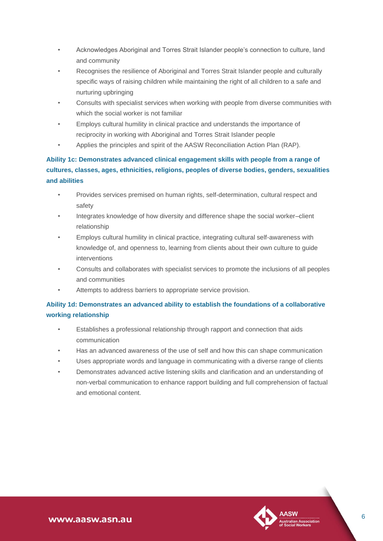- Acknowledges Aboriginal and Torres Strait Islander people's connection to culture, land and community
- Recognises the resilience of Aboriginal and Torres Strait Islander people and culturally specific ways of raising children while maintaining the right of all children to a safe and nurturing upbringing
- Consults with specialist services when working with people from diverse communities with which the social worker is not familiar
- Employs cultural humility in clinical practice and understands the importance of reciprocity in working with Aboriginal and Torres Strait Islander people
- Applies the principles and spirit of the AASW Reconciliation Action Plan (RAP).

**Ability 1c: Demonstrates advanced clinical engagement skills with people from a range of cultures, classes, ages, ethnicities, religions, peoples of diverse bodies, genders, sexualities and abilities**

- Provides services premised on human rights, self-determination, cultural respect and safety
- Integrates knowledge of how diversity and difference shape the social worker–client relationship
- Employs cultural humility in clinical practice, integrating cultural self-awareness with knowledge of, and openness to, learning from clients about their own culture to guide interventions
- Consults and collaborates with specialist services to promote the inclusions of all peoples and communities
- Attempts to address barriers to appropriate service provision.

#### **Ability 1d: Demonstrates an advanced ability to establish the foundations of a collaborative working relationship**

- Establishes a professional relationship through rapport and connection that aids communication
- Has an advanced awareness of the use of self and how this can shape communication
- Uses appropriate words and language in communicating with a diverse range of clients
- Demonstrates advanced active listening skills and clarification and an understanding of non-verbal communication to enhance rapport building and full comprehension of factual and emotional content.

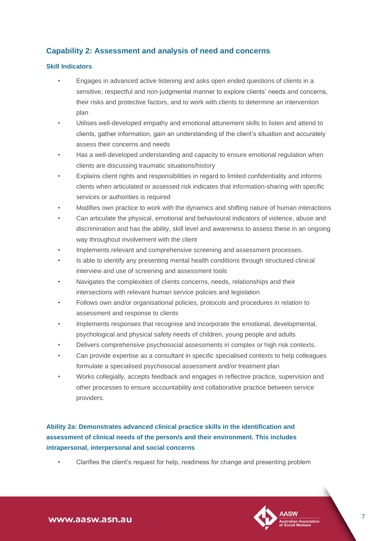#### <span id="page-6-0"></span>**Capability 2: Assessment and analysis of need and concerns**

#### **Skill Indicators**

- Engages in advanced active listening and asks open ended questions of clients in a sensitive, respectful and non-judgmental manner to explore clients' needs and concerns, their risks and protective factors, and to work with clients to determine an intervention plan
- Utilises well-developed empathy and emotional attunement skills to listen and attend to clients, gather information, gain an understanding of the client's situation and accurately assess their concerns and needs
- Has a well-developed understanding and capacity to ensure emotional regulation when clients are discussing traumatic situations/history
- Explains client rights and responsibilities in regard to limited confidentiality and informs clients when articulated or assessed risk indicates that information-sharing with specific services or authorities is required
- Modifies own practice to work with the dynamics and shifting nature of human interactions
- Can articulate the physical, emotional and behavioural indicators of violence, abuse and discrimination and has the ability, skill level and awareness to assess these in an ongoing way throughout involvement with the client
- Implements relevant and comprehensive screening and assessment processes.
- Is able to identify any presenting mental health conditions through structured clinical interview and use of screening and assessment tools
- Navigates the complexities of clients concerns, needs, relationships and their intersections with relevant human service policies and legislation
- Follows own and/or organisational policies, protocols and procedures in relation to assessment and response to clients
- Implements responses that recognise and incorporate the emotional, developmental, psychological and physical safety needs of children, young people and adults
- Delivers comprehensive psychosocial assessments in complex or high risk contexts.
- Can provide expertise as a consultant in specific specialised contexts to help colleagues formulate a specialised psychosocial assessment and/or treatment plan
- Works collegially, accepts feedback and engages in reflective practice, supervision and other processes to ensure accountability and collaborative practice between service providers.

# **Ability 2a: Demonstrates advanced clinical practice skills in the identification and assessment of clinical needs of the person/s and their environment. This includes intrapersonal, interpersonal and social concerns**

• Clarifies the client's request for help, readiness for change and presenting problem

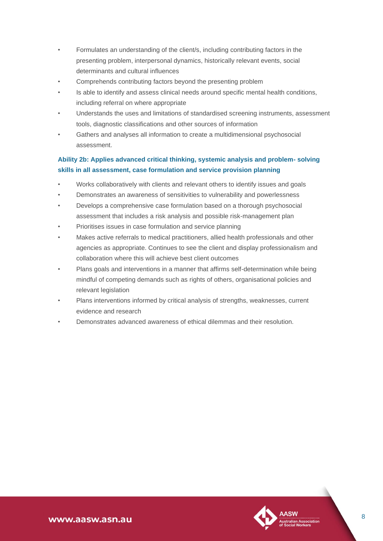- Formulates an understanding of the client/s, including contributing factors in the presenting problem, interpersonal dynamics, historically relevant events, social determinants and cultural influences
- Comprehends contributing factors beyond the presenting problem
- Is able to identify and assess clinical needs around specific mental health conditions, including referral on where appropriate
- Understands the uses and limitations of standardised screening instruments, assessment tools, diagnostic classifications and other sources of information
- Gathers and analyses all information to create a multidimensional psychosocial assessment.

#### **Ability 2b: Applies advanced critical thinking, systemic analysis and problem- solving skills in all assessment, case formulation and service provision planning**

- Works collaboratively with clients and relevant others to identify issues and goals
- Demonstrates an awareness of sensitivities to vulnerability and powerlessness
- Develops a comprehensive case formulation based on a thorough psychosocial assessment that includes a risk analysis and possible risk-management plan
- Prioritises issues in case formulation and service planning
- Makes active referrals to medical practitioners, allied health professionals and other agencies as appropriate. Continues to see the client and display professionalism and collaboration where this will achieve best client outcomes
- Plans goals and interventions in a manner that affirms self-determination while being mindful of competing demands such as rights of others, organisational policies and relevant legislation
- Plans interventions informed by critical analysis of strengths, weaknesses, current evidence and research
- Demonstrates advanced awareness of ethical dilemmas and their resolution.

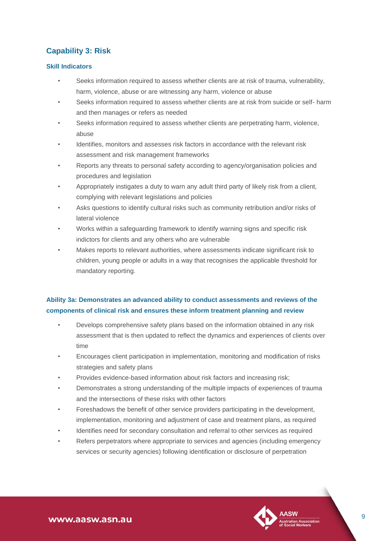# <span id="page-8-0"></span>**Capability 3: Risk**

#### **Skill Indicators**

- Seeks information required to assess whether clients are at risk of trauma, vulnerability, harm, violence, abuse or are witnessing any harm, violence or abuse
- Seeks information required to assess whether clients are at risk from suicide or self- harm and then manages or refers as needed
- Seeks information required to assess whether clients are perpetrating harm, violence, abuse
- Identifies, monitors and assesses risk factors in accordance with the relevant risk assessment and risk management frameworks
- Reports any threats to personal safety according to agency/organisation policies and procedures and legislation
- Appropriately instigates a duty to warn any adult third party of likely risk from a client, complying with relevant legislations and policies
- Asks questions to identify cultural risks such as community retribution and/or risks of lateral violence
- Works within a safeguarding framework to identify warning signs and specific risk indictors for clients and any others who are vulnerable
- Makes reports to relevant authorities, where assessments indicate significant risk to children, young people or adults in a way that recognises the applicable threshold for mandatory reporting.

#### **Ability 3a: Demonstrates an advanced ability to conduct assessments and reviews of the components of clinical risk and ensures these inform treatment planning and review**

- Develops comprehensive safety plans based on the information obtained in any risk assessment that is then updated to reflect the dynamics and experiences of clients over time
- Encourages client participation in implementation, monitoring and modification of risks strategies and safety plans
- Provides evidence-based information about risk factors and increasing risk;
- Demonstrates a strong understanding of the multiple impacts of experiences of trauma and the intersections of these risks with other factors
- Foreshadows the benefit of other service providers participating in the development, implementation, monitoring and adjustment of case and treatment plans, as required
- Identifies need for secondary consultation and referral to other services as required
- Refers perpetrators where appropriate to services and agencies (including emergency services or security agencies) following identification or disclosure of perpetration

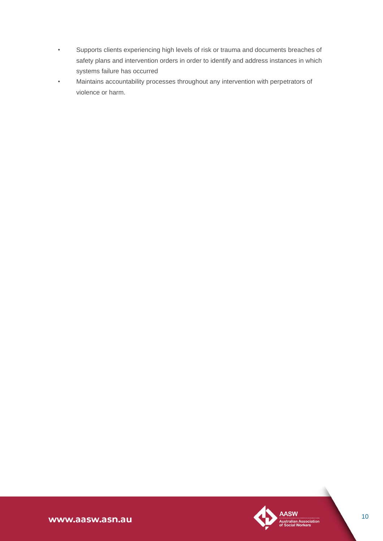- Supports clients experiencing high levels of risk or trauma and documents breaches of safety plans and intervention orders in order to identify and address instances in which systems failure has occurred
- Maintains accountability processes throughout any intervention with perpetrators of violence or harm.



www.aasw.asn.au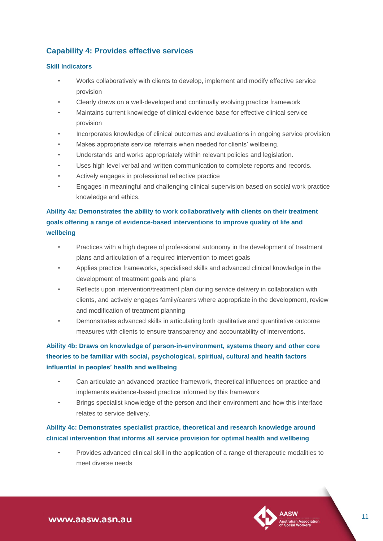### <span id="page-10-0"></span>**Capability 4: Provides effective services**

#### **Skill Indicators**

- Works collaboratively with clients to develop, implement and modify effective service provision
- Clearly draws on a well-developed and continually evolving practice framework
- Maintains current knowledge of clinical evidence base for effective clinical service provision
- Incorporates knowledge of clinical outcomes and evaluations in ongoing service provision
- Makes appropriate service referrals when needed for clients' wellbeing.
- Understands and works appropriately within relevant policies and legislation.
- Uses high level verbal and written communication to complete reports and records.
- Actively engages in professional reflective practice
- Engages in meaningful and challenging clinical supervision based on social work practice knowledge and ethics.

#### **Ability 4a: Demonstrates the ability to work collaboratively with clients on their treatment goals offering a range of evidence-based interventions to improve quality of life and wellbeing**

- Practices with a high degree of professional autonomy in the development of treatment plans and articulation of a required intervention to meet goals
- Applies practice frameworks, specialised skills and advanced clinical knowledge in the development of treatment goals and plans
- Reflects upon intervention/treatment plan during service delivery in collaboration with clients, and actively engages family/carers where appropriate in the development, review and modification of treatment planning
- Demonstrates advanced skills in articulating both qualitative and quantitative outcome measures with clients to ensure transparency and accountability of interventions.

### **Ability 4b: Draws on knowledge of person-in-environment, systems theory and other core theories to be familiar with social, psychological, spiritual, cultural and health factors influential in peoples' health and wellbeing**

- Can articulate an advanced practice framework, theoretical influences on practice and implements evidence-based practice informed by this framework
- Brings specialist knowledge of the person and their environment and how this interface relates to service delivery.

#### **Ability 4c: Demonstrates specialist practice, theoretical and research knowledge around clinical intervention that informs all service provision for optimal health and wellbeing**

• Provides advanced clinical skill in the application of a range of therapeutic modalities to meet diverse needs

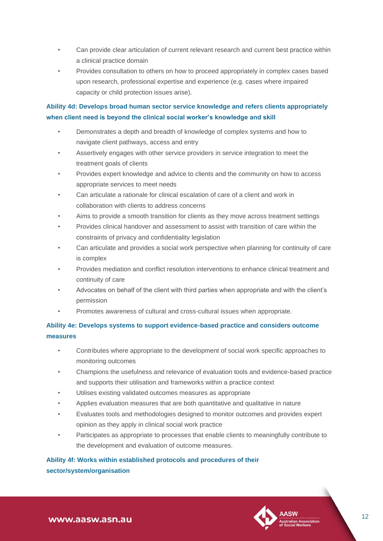- Can provide clear articulation of current relevant research and current best practice within a clinical practice domain
- Provides consultation to others on how to proceed appropriately in complex cases based upon research, professional expertise and experience (e.g. cases where impaired capacity or child protection issues arise).

#### **Ability 4d: Develops broad human sector service knowledge and refers clients appropriately when client need is beyond the clinical social worker's knowledge and skill**

- Demonstrates a depth and breadth of knowledge of complex systems and how to navigate client pathways, access and entry
- Assertively engages with other service providers in service integration to meet the treatment goals of clients
- Provides expert knowledge and advice to clients and the community on how to access appropriate services to meet needs
- Can articulate a rationale for clinical escalation of care of a client and work in collaboration with clients to address concerns
- Aims to provide a smooth transition for clients as they move across treatment settings
- Provides clinical handover and assessment to assist with transition of care within the constraints of privacy and confidentiality legislation
- Can articulate and provides a social work perspective when planning for continuity of care is complex
- Provides mediation and conflict resolution interventions to enhance clinical treatment and continuity of care
- Advocates on behalf of the client with third parties when appropriate and with the client's permission
- Promotes awareness of cultural and cross-cultural issues when appropriate.

#### **Ability 4e: Develops systems to support evidence-based practice and considers outcome measures**

- Contributes where appropriate to the development of social work specific approaches to monitoring outcomes
- Champions the usefulness and relevance of evaluation tools and evidence-based practice and supports their utilisation and frameworks within a practice context
- Utilises existing validated outcomes measures as appropriate
- Applies evaluation measures that are both quantitative and qualitative in nature
- Evaluates tools and methodologies designed to monitor outcomes and provides expert opinion as they apply in clinical social work practice
- Participates as appropriate to processes that enable clients to meaningfully contribute to the development and evaluation of outcome measures.

### **Ability 4f: Works within established protocols and procedures of their sector/system/organisation**



www.aasw.asn.au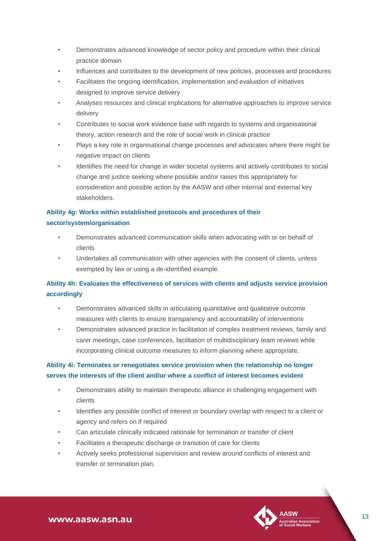- Demonstrates advanced knowledge of sector policy and procedure within their clinical practice domain
- Influences and contributes to the development of new policies, processes and procedures
- Facilitates the ongoing identification, implementation and evaluation of initiatives designed to improve service delivery
- Analyses resources and clinical implications for alternative approaches to improve service delivery
- Contributes to social work evidence base with regards to systems and organisational theory, action research and the role of social work in clinical practice
- Plays a key role in organisational change processes and advocates where there might be negative impact on clients
- Identifies the need for change in wider societal systems and actively contributes to social change and justice seeking where possible and/or raises this appropriately for consideration and possible action by the AASW and other internal and external key stakeholders.

#### **Ability 4g: Works within established protocols and procedures of their sector/system/organisation**

- Demonstrates advanced communication skills when advocating with or on behalf of clients
- Undertakes all communication with other agencies with the consent of clients, unless exempted by law or using a de-identified example.

#### **Ability 4h: Evaluates the effectiveness of services with clients and adjusts service provision accordingly**

- Demonstrates advanced skills in articulating quantitative and qualitative outcome measures with clients to ensure transparency and accountability of interventions
- Demonstrates advanced practice in facilitation of complex treatment reviews, family and carer meetings, case conferences, facilitation of multidisciplinary team reviews while incorporating clinical outcome measures to inform planning where appropriate.

#### **Ability 4i: Terminates or renegotiates service provision when the relationship no longer serves the interests of the client and/or where a conflict of interest becomes evident**

- Demonstrates ability to maintain therapeutic alliance in challenging engagement with clients
- Identifies any possible conflict of interest or boundary overlap with respect to a client or agency and refers on if required
- Can articulate clinically indicated rationale for termination or transfer of client
- Facilitates a therapeutic discharge or transition of care for clients
- Actively seeks professional supervision and review around conflicts of interest and transfer or termination plan.

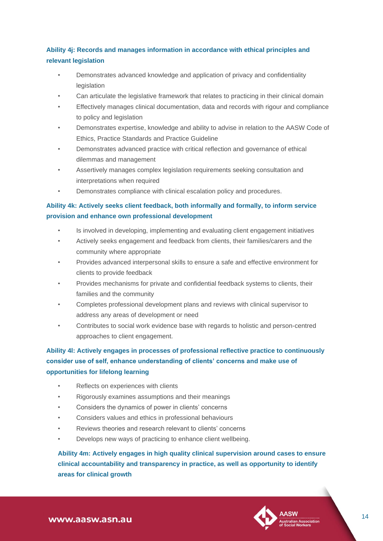#### **Ability 4j: Records and manages information in accordance with ethical principles and relevant legislation**

- Demonstrates advanced knowledge and application of privacy and confidentiality **legislation**
- Can articulate the legislative framework that relates to practicing in their clinical domain
- Effectively manages clinical documentation, data and records with rigour and compliance to policy and legislation
- Demonstrates expertise, knowledge and ability to advise in relation to the AASW Code of Ethics, Practice Standards and Practice Guideline
- Demonstrates advanced practice with critical reflection and governance of ethical dilemmas and management
- Assertively manages complex legislation requirements seeking consultation and interpretations when required
- Demonstrates compliance with clinical escalation policy and procedures.

#### **Ability 4k: Actively seeks client feedback, both informally and formally, to inform service provision and enhance own professional development**

- Is involved in developing, implementing and evaluating client engagement initiatives
- Actively seeks engagement and feedback from clients, their families/carers and the community where appropriate
- Provides advanced interpersonal skills to ensure a safe and effective environment for clients to provide feedback
- Provides mechanisms for private and confidential feedback systems to clients, their families and the community
- Completes professional development plans and reviews with clinical supervisor to address any areas of development or need
- Contributes to social work evidence base with regards to holistic and person-centred approaches to client engagement.

**Ability 4l: Actively engages in processes of professional reflective practice to continuously consider use of self, enhance understanding of clients' concerns and make use of opportunities for lifelong learning**

- Reflects on experiences with clients
- Rigorously examines assumptions and their meanings
- Considers the dynamics of power in clients' concerns
- Considers values and ethics in professional behaviours
- Reviews theories and research relevant to clients' concerns
- Develops new ways of practicing to enhance client wellbeing.

# **Ability 4m: Actively engages in high quality clinical supervision around cases to ensure clinical accountability and transparency in practice, as well as opportunity to identify areas for clinical growth**

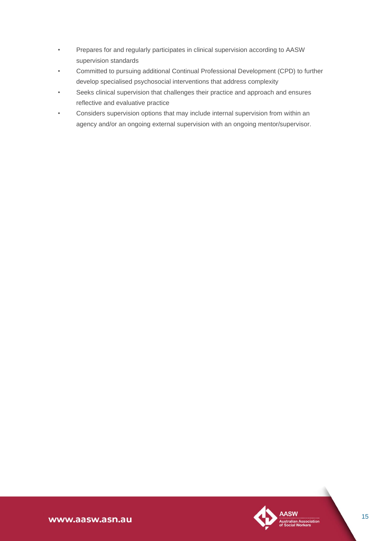- Prepares for and regularly participates in clinical supervision according to AASW supervision standards
- Committed to pursuing additional Continual Professional Development (CPD) to further develop specialised psychosocial interventions that address complexity
- Seeks clinical supervision that challenges their practice and approach and ensures reflective and evaluative practice
- Considers supervision options that may include internal supervision from within an agency and/or an ongoing external supervision with an ongoing mentor/supervisor.

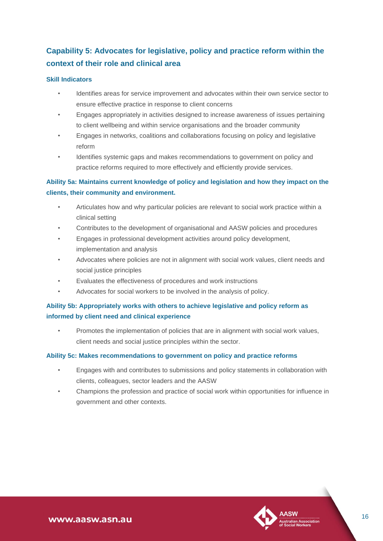# <span id="page-15-0"></span>**Capability 5: Advocates for legislative, policy and practice reform within the context of their role and clinical area**

#### **Skill Indicators**

- Identifies areas for service improvement and advocates within their own service sector to ensure effective practice in response to client concerns
- Engages appropriately in activities designed to increase awareness of issues pertaining to client wellbeing and within service organisations and the broader community
- Engages in networks, coalitions and collaborations focusing on policy and legislative reform
- Identifies systemic gaps and makes recommendations to government on policy and practice reforms required to more effectively and efficiently provide services.

#### **Ability 5a: Maintains current knowledge of policy and legislation and how they impact on the clients, their community and environment.**

- Articulates how and why particular policies are relevant to social work practice within a clinical setting
- Contributes to the development of organisational and AASW policies and procedures
- Engages in professional development activities around policy development, implementation and analysis
- Advocates where policies are not in alignment with social work values, client needs and social justice principles
- Evaluates the effectiveness of procedures and work instructions
- Advocates for social workers to be involved in the analysis of policy.

#### **Ability 5b: Appropriately works with others to achieve legislative and policy reform as informed by client need and clinical experience**

• Promotes the implementation of policies that are in alignment with social work values, client needs and social justice principles within the sector.

#### **Ability 5c: Makes recommendations to government on policy and practice reforms**

- Engages with and contributes to submissions and policy statements in collaboration with clients, colleagues, sector leaders and the AASW
- Champions the profession and practice of social work within opportunities for influence in government and other contexts.